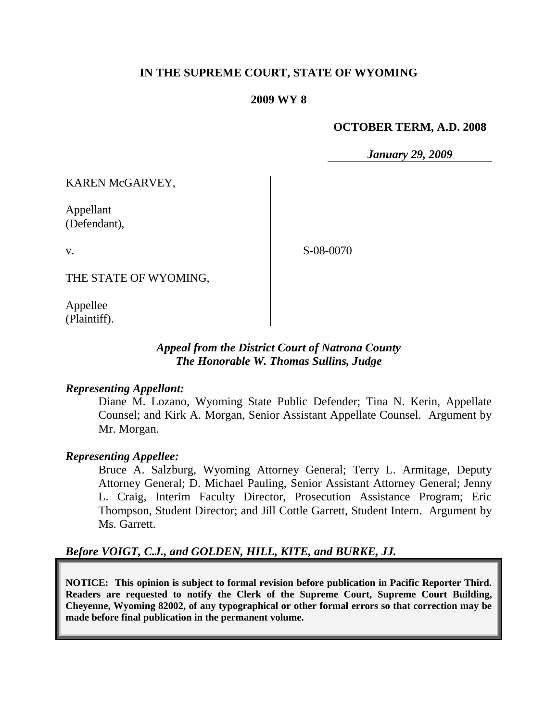# **IN THE SUPREME COURT, STATE OF WYOMING**

#### **2009 WY 8**

#### **OCTOBER TERM, A.D. 2008**

*January 29, 2009*

KAREN McGARVEY,

Appellant (Defendant),

v.

S-08-0070

THE STATE OF WYOMING,

Appellee (Plaintiff).

# *Appeal from the District Court of Natrona County The Honorable W. Thomas Sullins, Judge*

#### *Representing Appellant:*

Diane M. Lozano, Wyoming State Public Defender; Tina N. Kerin, Appellate Counsel; and Kirk A. Morgan, Senior Assistant Appellate Counsel. Argument by Mr. Morgan.

#### *Representing Appellee:*

Bruce A. Salzburg, Wyoming Attorney General; Terry L. Armitage, Deputy Attorney General; D. Michael Pauling, Senior Assistant Attorney General; Jenny L. Craig, Interim Faculty Director, Prosecution Assistance Program; Eric Thompson, Student Director; and Jill Cottle Garrett, Student Intern. Argument by Ms. Garrett.

# *Before VOIGT, C.J., and GOLDEN, HILL, KITE, and BURKE, JJ.*

**NOTICE: This opinion is subject to formal revision before publication in Pacific Reporter Third. Readers are requested to notify the Clerk of the Supreme Court, Supreme Court Building, Cheyenne, Wyoming 82002, of any typographical or other formal errors so that correction may be made before final publication in the permanent volume.**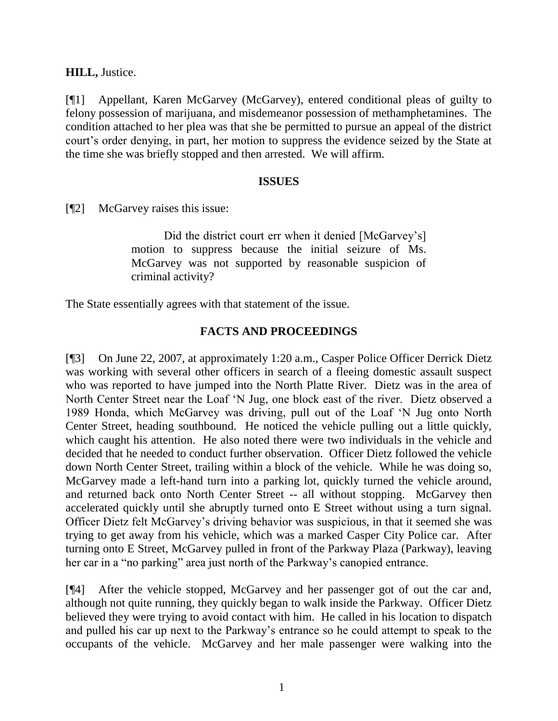**HILL,** Justice.

[¶1] Appellant, Karen McGarvey (McGarvey), entered conditional pleas of guilty to felony possession of marijuana, and misdemeanor possession of methamphetamines. The condition attached to her plea was that she be permitted to pursue an appeal of the district court's order denying, in part, her motion to suppress the evidence seized by the State at the time she was briefly stopped and then arrested. We will affirm.

# **ISSUES**

[¶2] McGarvey raises this issue:

Did the district court err when it denied [McGarvey's] motion to suppress because the initial seizure of Ms. McGarvey was not supported by reasonable suspicion of criminal activity?

The State essentially agrees with that statement of the issue.

# **FACTS AND PROCEEDINGS**

[¶3] On June 22, 2007, at approximately 1:20 a.m., Casper Police Officer Derrick Dietz was working with several other officers in search of a fleeing domestic assault suspect who was reported to have jumped into the North Platte River. Dietz was in the area of North Center Street near the Loaf "N Jug, one block east of the river. Dietz observed a 1989 Honda, which McGarvey was driving, pull out of the Loaf "N Jug onto North Center Street, heading southbound. He noticed the vehicle pulling out a little quickly, which caught his attention. He also noted there were two individuals in the vehicle and decided that he needed to conduct further observation. Officer Dietz followed the vehicle down North Center Street, trailing within a block of the vehicle. While he was doing so, McGarvey made a left-hand turn into a parking lot, quickly turned the vehicle around, and returned back onto North Center Street -- all without stopping. McGarvey then accelerated quickly until she abruptly turned onto E Street without using a turn signal. Officer Dietz felt McGarvey"s driving behavior was suspicious, in that it seemed she was trying to get away from his vehicle, which was a marked Casper City Police car. After turning onto E Street, McGarvey pulled in front of the Parkway Plaza (Parkway), leaving her car in a "no parking" area just north of the Parkway's canopied entrance.

[¶4] After the vehicle stopped, McGarvey and her passenger got of out the car and, although not quite running, they quickly began to walk inside the Parkway. Officer Dietz believed they were trying to avoid contact with him. He called in his location to dispatch and pulled his car up next to the Parkway"s entrance so he could attempt to speak to the occupants of the vehicle. McGarvey and her male passenger were walking into the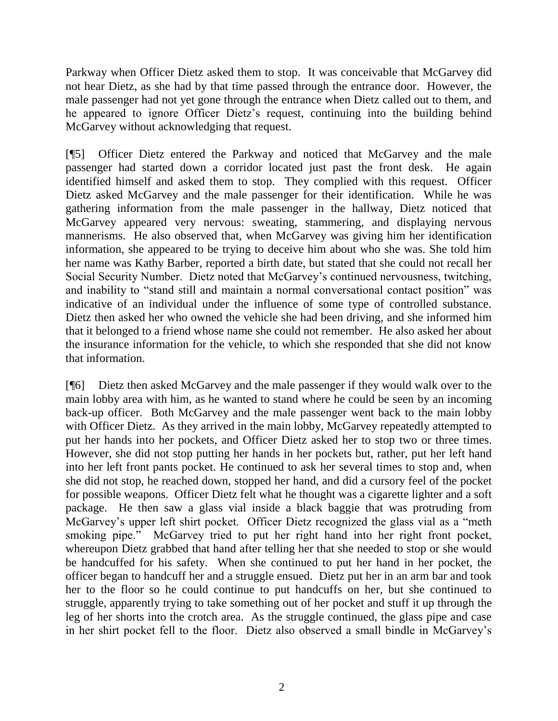Parkway when Officer Dietz asked them to stop. It was conceivable that McGarvey did not hear Dietz, as she had by that time passed through the entrance door. However, the male passenger had not yet gone through the entrance when Dietz called out to them, and he appeared to ignore Officer Dietz"s request, continuing into the building behind McGarvey without acknowledging that request.

[¶5] Officer Dietz entered the Parkway and noticed that McGarvey and the male passenger had started down a corridor located just past the front desk. He again identified himself and asked them to stop. They complied with this request. Officer Dietz asked McGarvey and the male passenger for their identification. While he was gathering information from the male passenger in the hallway, Dietz noticed that McGarvey appeared very nervous: sweating, stammering, and displaying nervous mannerisms. He also observed that, when McGarvey was giving him her identification information, she appeared to be trying to deceive him about who she was. She told him her name was Kathy Barber, reported a birth date, but stated that she could not recall her Social Security Number. Dietz noted that McGarvey"s continued nervousness, twitching, and inability to "stand still and maintain a normal conversational contact position" was indicative of an individual under the influence of some type of controlled substance. Dietz then asked her who owned the vehicle she had been driving, and she informed him that it belonged to a friend whose name she could not remember. He also asked her about the insurance information for the vehicle, to which she responded that she did not know that information.

[¶6] Dietz then asked McGarvey and the male passenger if they would walk over to the main lobby area with him, as he wanted to stand where he could be seen by an incoming back-up officer. Both McGarvey and the male passenger went back to the main lobby with Officer Dietz. As they arrived in the main lobby, McGarvey repeatedly attempted to put her hands into her pockets, and Officer Dietz asked her to stop two or three times. However, she did not stop putting her hands in her pockets but, rather, put her left hand into her left front pants pocket. He continued to ask her several times to stop and, when she did not stop, he reached down, stopped her hand, and did a cursory feel of the pocket for possible weapons. Officer Dietz felt what he thought was a cigarette lighter and a soft package. He then saw a glass vial inside a black baggie that was protruding from McGarvey's upper left shirt pocket. Officer Dietz recognized the glass vial as a "meth" smoking pipe." McGarvey tried to put her right hand into her right front pocket, whereupon Dietz grabbed that hand after telling her that she needed to stop or she would be handcuffed for his safety. When she continued to put her hand in her pocket, the officer began to handcuff her and a struggle ensued. Dietz put her in an arm bar and took her to the floor so he could continue to put handcuffs on her, but she continued to struggle, apparently trying to take something out of her pocket and stuff it up through the leg of her shorts into the crotch area. As the struggle continued, the glass pipe and case in her shirt pocket fell to the floor. Dietz also observed a small bindle in McGarvey"s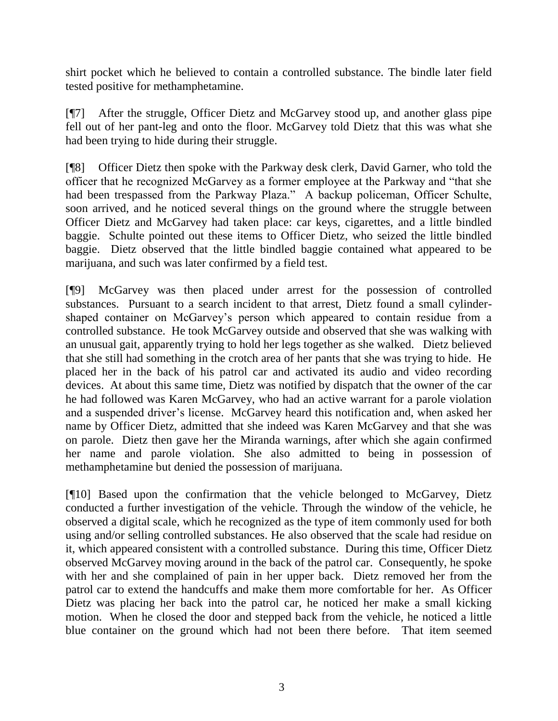shirt pocket which he believed to contain a controlled substance. The bindle later field tested positive for methamphetamine.

[¶7] After the struggle, Officer Dietz and McGarvey stood up, and another glass pipe fell out of her pant-leg and onto the floor. McGarvey told Dietz that this was what she had been trying to hide during their struggle.

[¶8] Officer Dietz then spoke with the Parkway desk clerk, David Garner, who told the officer that he recognized McGarvey as a former employee at the Parkway and "that she had been trespassed from the Parkway Plaza." A backup policeman, Officer Schulte, soon arrived, and he noticed several things on the ground where the struggle between Officer Dietz and McGarvey had taken place: car keys, cigarettes, and a little bindled baggie. Schulte pointed out these items to Officer Dietz, who seized the little bindled baggie. Dietz observed that the little bindled baggie contained what appeared to be marijuana, and such was later confirmed by a field test.

[¶9] McGarvey was then placed under arrest for the possession of controlled substances. Pursuant to a search incident to that arrest, Dietz found a small cylindershaped container on McGarvey"s person which appeared to contain residue from a controlled substance. He took McGarvey outside and observed that she was walking with an unusual gait, apparently trying to hold her legs together as she walked. Dietz believed that she still had something in the crotch area of her pants that she was trying to hide. He placed her in the back of his patrol car and activated its audio and video recording devices. At about this same time, Dietz was notified by dispatch that the owner of the car he had followed was Karen McGarvey, who had an active warrant for a parole violation and a suspended driver's license. McGarvey heard this notification and, when asked her name by Officer Dietz, admitted that she indeed was Karen McGarvey and that she was on parole. Dietz then gave her the Miranda warnings, after which she again confirmed her name and parole violation. She also admitted to being in possession of methamphetamine but denied the possession of marijuana.

[¶10] Based upon the confirmation that the vehicle belonged to McGarvey, Dietz conducted a further investigation of the vehicle. Through the window of the vehicle, he observed a digital scale, which he recognized as the type of item commonly used for both using and/or selling controlled substances. He also observed that the scale had residue on it, which appeared consistent with a controlled substance. During this time, Officer Dietz observed McGarvey moving around in the back of the patrol car. Consequently, he spoke with her and she complained of pain in her upper back. Dietz removed her from the patrol car to extend the handcuffs and make them more comfortable for her. As Officer Dietz was placing her back into the patrol car, he noticed her make a small kicking motion. When he closed the door and stepped back from the vehicle, he noticed a little blue container on the ground which had not been there before. That item seemed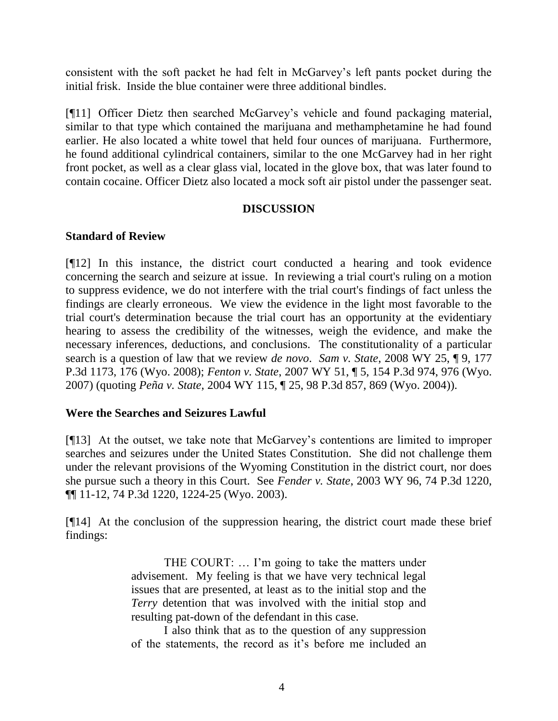consistent with the soft packet he had felt in McGarvey"s left pants pocket during the initial frisk. Inside the blue container were three additional bindles.

[¶11] Officer Dietz then searched McGarvey"s vehicle and found packaging material, similar to that type which contained the marijuana and methamphetamine he had found earlier. He also located a white towel that held four ounces of marijuana. Furthermore, he found additional cylindrical containers, similar to the one McGarvey had in her right front pocket, as well as a clear glass vial, located in the glove box, that was later found to contain cocaine. Officer Dietz also located a mock soft air pistol under the passenger seat.

# **DISCUSSION**

# **Standard of Review**

[¶12] In this instance, the district court conducted a hearing and took evidence concerning the search and seizure at issue. In reviewing a trial court's ruling on a motion to suppress evidence, we do not interfere with the trial court's findings of fact unless the findings are clearly erroneous. We view the evidence in the light most favorable to the trial court's determination because the trial court has an opportunity at the evidentiary hearing to assess the credibility of the witnesses, weigh the evidence, and make the necessary inferences, deductions, and conclusions. The constitutionality of a particular search is a question of law that we review *de novo*. *Sam v. State*, 2008 WY 25, ¶ 9, 177 P.3d 1173, 176 (Wyo. 2008); *Fenton v. State*, 2007 WY 51, ¶ 5, 154 P.3d 974, 976 (Wyo. 2007) (quoting *Peña v. State*, 2004 WY 115, ¶ 25, 98 P.3d 857, 869 (Wyo. 2004)).

#### **Were the Searches and Seizures Lawful**

[¶13] At the outset, we take note that McGarvey"s contentions are limited to improper searches and seizures under the United States Constitution. She did not challenge them under the relevant provisions of the Wyoming Constitution in the district court, nor does she pursue such a theory in this Court. See *Fender v. State*, 2003 WY 96, 74 P.3d 1220, ¶¶ 11-12, 74 P.3d 1220, 1224-25 (Wyo. 2003).

[¶14] At the conclusion of the suppression hearing, the district court made these brief findings:

> THE COURT: ... I'm going to take the matters under advisement. My feeling is that we have very technical legal issues that are presented, at least as to the initial stop and the *Terry* detention that was involved with the initial stop and resulting pat-down of the defendant in this case.

> I also think that as to the question of any suppression of the statements, the record as it"s before me included an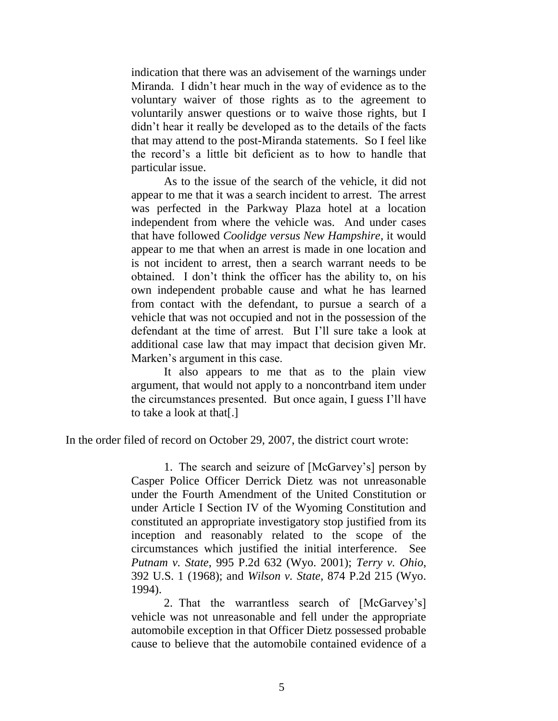indication that there was an advisement of the warnings under Miranda. I didn"t hear much in the way of evidence as to the voluntary waiver of those rights as to the agreement to voluntarily answer questions or to waive those rights, but I didn"t hear it really be developed as to the details of the facts that may attend to the post-Miranda statements. So I feel like the record"s a little bit deficient as to how to handle that particular issue.

As to the issue of the search of the vehicle, it did not appear to me that it was a search incident to arrest. The arrest was perfected in the Parkway Plaza hotel at a location independent from where the vehicle was. And under cases that have followed *Coolidge versus New Hampshire*, it would appear to me that when an arrest is made in one location and is not incident to arrest, then a search warrant needs to be obtained. I don"t think the officer has the ability to, on his own independent probable cause and what he has learned from contact with the defendant, to pursue a search of a vehicle that was not occupied and not in the possession of the defendant at the time of arrest. But I"ll sure take a look at additional case law that may impact that decision given Mr. Marken"s argument in this case.

It also appears to me that as to the plain view argument, that would not apply to a noncontrband item under the circumstances presented. But once again, I guess I"ll have to take a look at that[.]

In the order filed of record on October 29, 2007, the district court wrote:

1. The search and seizure of [McGarvey"s] person by Casper Police Officer Derrick Dietz was not unreasonable under the Fourth Amendment of the United Constitution or under Article I Section IV of the Wyoming Constitution and constituted an appropriate investigatory stop justified from its inception and reasonably related to the scope of the circumstances which justified the initial interference. See *Putnam v. State*, 995 P.2d 632 (Wyo. 2001); *Terry v. Ohio*, 392 U.S. 1 (1968); and *Wilson v. State*, 874 P.2d 215 (Wyo. 1994).

2. That the warrantless search of [McGarvey"s] vehicle was not unreasonable and fell under the appropriate automobile exception in that Officer Dietz possessed probable cause to believe that the automobile contained evidence of a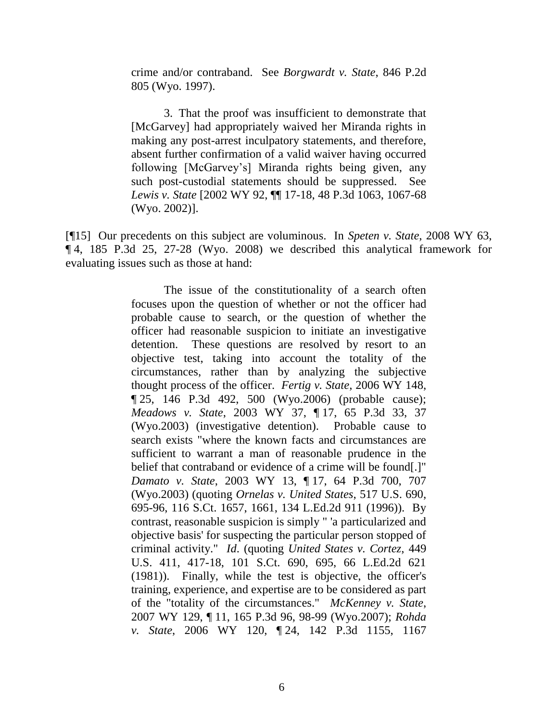crime and/or contraband. See *Borgwardt v. State*, 846 P.2d 805 (Wyo. 1997).

3. That the proof was insufficient to demonstrate that [McGarvey] had appropriately waived her Miranda rights in making any post-arrest inculpatory statements, and therefore, absent further confirmation of a valid waiver having occurred following [McGarvey"s] Miranda rights being given, any such post-custodial statements should be suppressed. See *Lewis v. State* [2002 WY 92, ¶¶ 17-18, 48 P.3d 1063, 1067-68 (Wyo. 2002)].

[¶15] Our precedents on this subject are voluminous. In *Speten v. State*, 2008 WY 63, ¶ 4, 185 P.3d 25, 27-28 (Wyo. 2008) we described this analytical framework for evaluating issues such as those at hand:

> The issue of the constitutionality of a search often focuses upon the question of whether or not the officer had probable cause to search, or the question of whether the officer had reasonable suspicion to initiate an investigative detention. These questions are resolved by resort to an objective test, taking into account the totality of the circumstances, rather than by analyzing the subjective thought process of the officer. *Fertig v. State*, 2006 WY 148, ¶ 25, 146 P.3d 492, 500 (Wyo.2006) (probable cause); *Meadows v. State*, 2003 WY 37, ¶ 17, 65 P.3d 33, 37 (Wyo.2003) (investigative detention). Probable cause to search exists "where the known facts and circumstances are sufficient to warrant a man of reasonable prudence in the belief that contraband or evidence of a crime will be found[.]" *Damato v. State*, 2003 WY 13, ¶ 17, 64 P.3d 700, 707 (Wyo.2003) (quoting *Ornelas v. United States*, 517 U.S. 690, 695-96, 116 S.Ct. 1657, 1661, 134 L.Ed.2d 911 (1996)). By contrast, reasonable suspicion is simply " 'a particularized and objective basis' for suspecting the particular person stopped of criminal activity." *Id*. (quoting *United States v. Cortez*, 449 U.S. 411, 417-18, 101 S.Ct. 690, 695, 66 L.Ed.2d 621 (1981)). Finally, while the test is objective, the officer's training, experience, and expertise are to be considered as part of the "totality of the circumstances." *McKenney v. State*, 2007 WY 129, ¶ 11, 165 P.3d 96, 98-99 (Wyo.2007); *Rohda v. State*, 2006 WY 120, ¶ 24, 142 P.3d 1155, 1167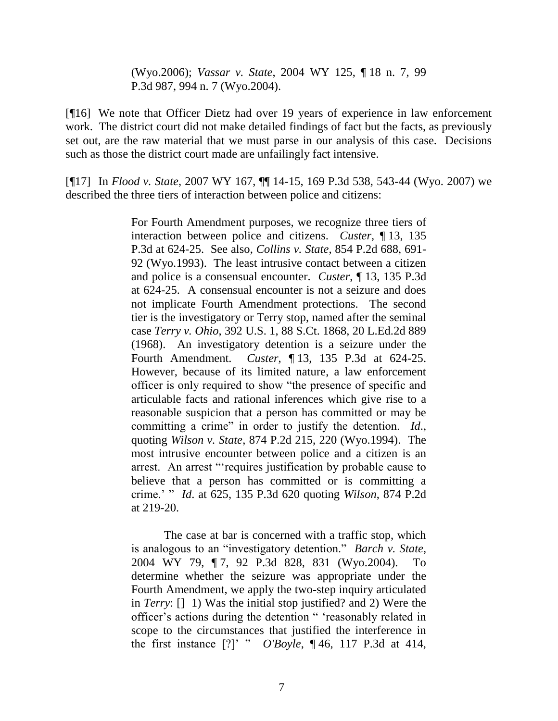(Wyo.2006); *Vassar v. State*, 2004 WY 125, ¶ 18 n. 7, 99 P.3d 987, 994 n. 7 (Wyo.2004).

[¶16] We note that Officer Dietz had over 19 years of experience in law enforcement work. The district court did not make detailed findings of fact but the facts, as previously set out, are the raw material that we must parse in our analysis of this case. Decisions such as those the district court made are unfailingly fact intensive.

[¶17] In *Flood v. State*, 2007 WY 167, ¶¶ 14-15, 169 P.3d 538, 543-44 (Wyo. 2007) we described the three tiers of interaction between police and citizens:

> For Fourth Amendment purposes, we recognize three tiers of interaction between police and citizens. *Custer*, ¶ 13, 135 P.3d at 624-25. See also, *Collins v. State*, 854 P.2d 688, 691- 92 (Wyo.1993). The least intrusive contact between a citizen and police is a consensual encounter. *Custer*, ¶ 13, 135 P.3d at 624-25. A consensual encounter is not a seizure and does not implicate Fourth Amendment protections. The second tier is the investigatory or Terry stop, named after the seminal case *Terry v. Ohio*, 392 U.S. 1, 88 S.Ct. 1868, 20 L.Ed.2d 889 (1968). An investigatory detention is a seizure under the Fourth Amendment. *Custer*, ¶ 13, 135 P.3d at 624-25. However, because of its limited nature, a law enforcement officer is only required to show "the presence of specific and articulable facts and rational inferences which give rise to a reasonable suspicion that a person has committed or may be committing a crime" in order to justify the detention. *Id*., quoting *Wilson v. State*, 874 P.2d 215, 220 (Wyo.1994). The most intrusive encounter between police and a citizen is an arrest. An arrest ""requires justification by probable cause to believe that a person has committed or is committing a crime." " *Id*. at 625, 135 P.3d 620 quoting *Wilson*, 874 P.2d at 219-20.

> The case at bar is concerned with a traffic stop, which is analogous to an "investigatory detention." *Barch v. State*, 2004 WY 79, ¶ 7, 92 P.3d 828, 831 (Wyo.2004). To determine whether the seizure was appropriate under the Fourth Amendment, we apply the two-step inquiry articulated in *Terry*: [] 1) Was the initial stop justified? and 2) Were the officer"s actions during the detention " "reasonably related in scope to the circumstances that justified the interference in the first instance [?]" " *O'Boyle*, ¶ 46, 117 P.3d at 414,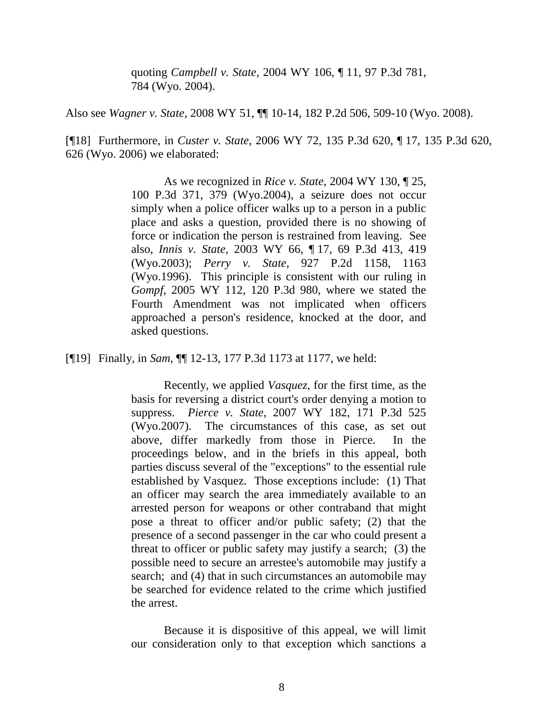quoting *Campbell v. State*, 2004 WY 106, ¶ 11, 97 P.3d 781, 784 (Wyo. 2004).

Also see *Wagner v. State*, 2008 WY 51, ¶¶ 10-14, 182 P.2d 506, 509-10 (Wyo. 2008).

[¶18] Furthermore, in *Custer v. State*, 2006 WY 72, 135 P.3d 620, ¶ 17, 135 P.3d 620, 626 (Wyo. 2006) we elaborated:

> As we recognized in *Rice v. State*, 2004 WY 130, ¶ 25, 100 P.3d 371, 379 (Wyo.2004), a seizure does not occur simply when a police officer walks up to a person in a public place and asks a question, provided there is no showing of force or indication the person is restrained from leaving. See also, *Innis v. State*, 2003 WY 66, ¶ 17, 69 P.3d 413, 419 (Wyo.2003); *Perry v. State*, 927 P.2d 1158, 1163 (Wyo.1996). This principle is consistent with our ruling in *Gompf*, 2005 WY 112, 120 P.3d 980, where we stated the Fourth Amendment was not implicated when officers approached a person's residence, knocked at the door, and asked questions.

[¶19] Finally, in *Sam*, ¶¶ 12-13, 177 P.3d 1173 at 1177, we held:

Recently, we applied *Vasquez*, for the first time, as the basis for reversing a district court's order denying a motion to suppress. *Pierce v. State*, 2007 WY 182, 171 P.3d 525 (Wyo.2007). The circumstances of this case, as set out above, differ markedly from those in Pierce. In the proceedings below, and in the briefs in this appeal, both parties discuss several of the "exceptions" to the essential rule established by Vasquez. Those exceptions include: (1) That an officer may search the area immediately available to an arrested person for weapons or other contraband that might pose a threat to officer and/or public safety; (2) that the presence of a second passenger in the car who could present a threat to officer or public safety may justify a search; (3) the possible need to secure an arrestee's automobile may justify a search; and (4) that in such circumstances an automobile may be searched for evidence related to the crime which justified the arrest.

Because it is dispositive of this appeal, we will limit our consideration only to that exception which sanctions a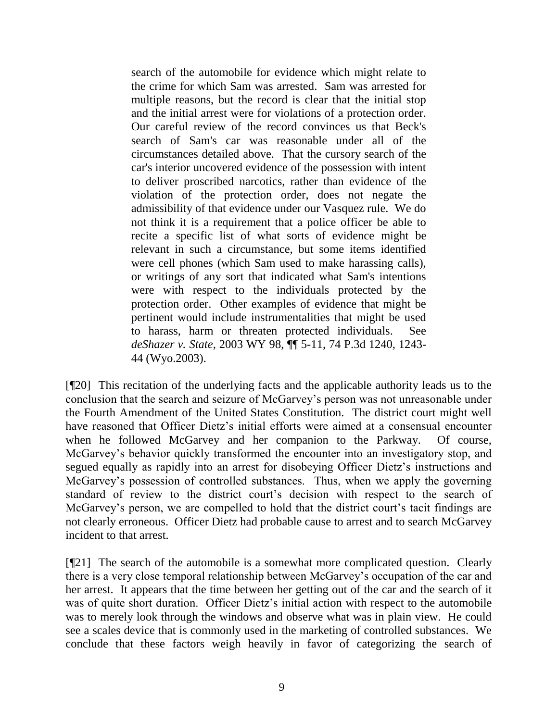search of the automobile for evidence which might relate to the crime for which Sam was arrested. Sam was arrested for multiple reasons, but the record is clear that the initial stop and the initial arrest were for violations of a protection order. Our careful review of the record convinces us that Beck's search of Sam's car was reasonable under all of the circumstances detailed above. That the cursory search of the car's interior uncovered evidence of the possession with intent to deliver proscribed narcotics, rather than evidence of the violation of the protection order, does not negate the admissibility of that evidence under our Vasquez rule. We do not think it is a requirement that a police officer be able to recite a specific list of what sorts of evidence might be relevant in such a circumstance, but some items identified were cell phones (which Sam used to make harassing calls), or writings of any sort that indicated what Sam's intentions were with respect to the individuals protected by the protection order. Other examples of evidence that might be pertinent would include instrumentalities that might be used to harass, harm or threaten protected individuals. See *deShazer v. State*, 2003 WY 98, ¶¶ 5-11, 74 P.3d 1240, 1243- 44 (Wyo.2003).

[¶20] This recitation of the underlying facts and the applicable authority leads us to the conclusion that the search and seizure of McGarvey"s person was not unreasonable under the Fourth Amendment of the United States Constitution. The district court might well have reasoned that Officer Dietz's initial efforts were aimed at a consensual encounter when he followed McGarvey and her companion to the Parkway. Of course, McGarvey"s behavior quickly transformed the encounter into an investigatory stop, and segued equally as rapidly into an arrest for disobeying Officer Dietz's instructions and McGarvey"s possession of controlled substances. Thus, when we apply the governing standard of review to the district court"s decision with respect to the search of McGarvey's person, we are compelled to hold that the district court's tacit findings are not clearly erroneous. Officer Dietz had probable cause to arrest and to search McGarvey incident to that arrest.

[¶21] The search of the automobile is a somewhat more complicated question. Clearly there is a very close temporal relationship between McGarvey"s occupation of the car and her arrest. It appears that the time between her getting out of the car and the search of it was of quite short duration. Officer Dietz's initial action with respect to the automobile was to merely look through the windows and observe what was in plain view. He could see a scales device that is commonly used in the marketing of controlled substances. We conclude that these factors weigh heavily in favor of categorizing the search of